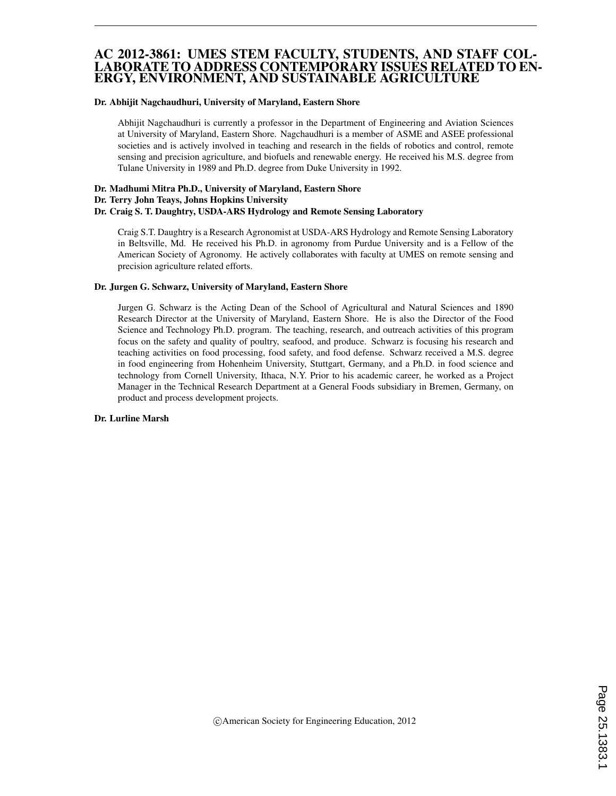# AC 2012-3861: UMES STEM FACULTY, STUDENTS, AND STAFF COL-LABORATE TO ADDRESS CONTEMPORARY ISSUES RELATED TO EN-ERGY, ENVIRONMENT, AND SUSTAINABLE AGRICULTURE

#### Dr. Abhijit Nagchaudhuri, University of Maryland, Eastern Shore

Abhijit Nagchaudhuri is currently a professor in the Department of Engineering and Aviation Sciences at University of Maryland, Eastern Shore. Nagchaudhuri is a member of ASME and ASEE professional societies and is actively involved in teaching and research in the fields of robotics and control, remote sensing and precision agriculture, and biofuels and renewable energy. He received his M.S. degree from Tulane University in 1989 and Ph.D. degree from Duke University in 1992.

#### Dr. Madhumi Mitra Ph.D., University of Maryland, Eastern Shore Dr. Terry John Teays, Johns Hopkins University Dr. Craig S. T. Daughtry, USDA-ARS Hydrology and Remote Sensing Laboratory

Craig S.T. Daughtry is a Research Agronomist at USDA-ARS Hydrology and Remote Sensing Laboratory in Beltsville, Md. He received his Ph.D. in agronomy from Purdue University and is a Fellow of the American Society of Agronomy. He actively collaborates with faculty at UMES on remote sensing and precision agriculture related efforts.

#### Dr. Jurgen G. Schwarz, University of Maryland, Eastern Shore

Jurgen G. Schwarz is the Acting Dean of the School of Agricultural and Natural Sciences and 1890 Research Director at the University of Maryland, Eastern Shore. He is also the Director of the Food Science and Technology Ph.D. program. The teaching, research, and outreach activities of this program focus on the safety and quality of poultry, seafood, and produce. Schwarz is focusing his research and teaching activities on food processing, food safety, and food defense. Schwarz received a M.S. degree in food engineering from Hohenheim University, Stuttgart, Germany, and a Ph.D. in food science and technology from Cornell University, Ithaca, N.Y. Prior to his academic career, he worked as a Project Manager in the Technical Research Department at a General Foods subsidiary in Bremen, Germany, on product and process development projects.

#### Dr. Lurline Marsh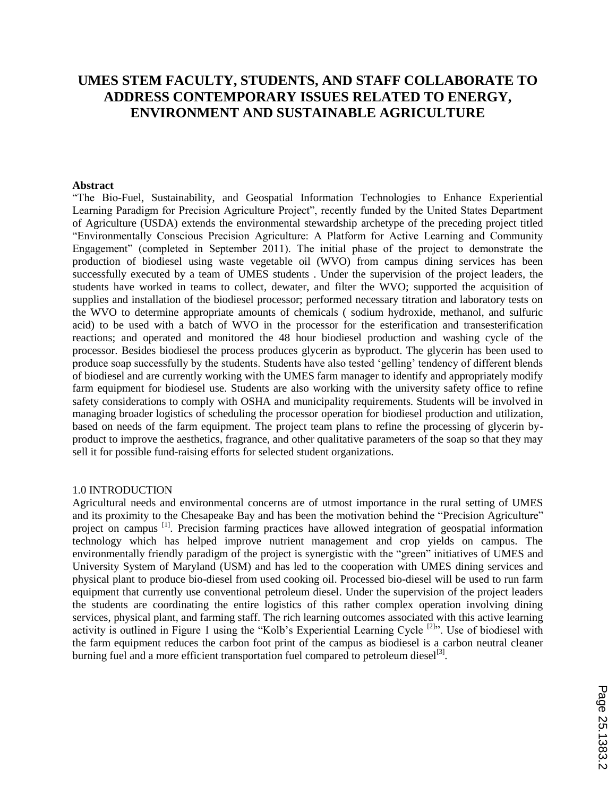# **UMES STEM FACULTY, STUDENTS, AND STAFF COLLABORATE TO ADDRESS CONTEMPORARY ISSUES RELATED TO ENERGY, ENVIRONMENT AND SUSTAINABLE AGRICULTURE**

#### **Abstract**

"The Bio-Fuel, Sustainability, and Geospatial Information Technologies to Enhance Experiential Learning Paradigm for Precision Agriculture Project", recently funded by the United States Department of Agriculture (USDA) extends the environmental stewardship archetype of the preceding project titled "Environmentally Conscious Precision Agriculture: A Platform for Active Learning and Community Engagement" (completed in September 2011). The initial phase of the project to demonstrate the production of biodiesel using waste vegetable oil (WVO) from campus dining services has been successfully executed by a team of UMES students . Under the supervision of the project leaders, the students have worked in teams to collect, dewater, and filter the WVO; supported the acquisition of supplies and installation of the biodiesel processor; performed necessary titration and laboratory tests on the WVO to determine appropriate amounts of chemicals ( sodium hydroxide, methanol, and sulfuric acid) to be used with a batch of WVO in the processor for the esterification and transesterification reactions; and operated and monitored the 48 hour biodiesel production and washing cycle of the processor. Besides biodiesel the process produces glycerin as byproduct. The glycerin has been used to produce soap successfully by the students. Students have also tested "gelling" tendency of different blends of biodiesel and are currently working with the UMES farm manager to identify and appropriately modify farm equipment for biodiesel use. Students are also working with the university safety office to refine safety considerations to comply with OSHA and municipality requirements. Students will be involved in managing broader logistics of scheduling the processor operation for biodiesel production and utilization, based on needs of the farm equipment. The project team plans to refine the processing of glycerin byproduct to improve the aesthetics, fragrance, and other qualitative parameters of the soap so that they may sell it for possible fund-raising efforts for selected student organizations.

#### 1.0 INTRODUCTION

Agricultural needs and environmental concerns are of utmost importance in the rural setting of UMES and its proximity to the Chesapeake Bay and has been the motivation behind the "Precision Agriculture" project on campus [1]. Precision farming practices have allowed integration of geospatial information technology which has helped improve nutrient management and crop yields on campus. The environmentally friendly paradigm of the project is synergistic with the "green" initiatives of UMES and University System of Maryland (USM) and has led to the cooperation with UMES dining services and physical plant to produce bio-diesel from used cooking oil. Processed bio-diesel will be used to run farm equipment that currently use conventional petroleum diesel. Under the supervision of the project leaders the students are coordinating the entire logistics of this rather complex operation involving dining services, physical plant, and farming staff. The rich learning outcomes associated with this active learning activity is outlined in Figure 1 using the "Kolb's Experiential Learning Cycle<sup>[2]</sup>". Use of biodiesel with the farm equipment reduces the carbon foot print of the campus as biodiesel is a carbon neutral cleaner burning fuel and a more efficient transportation fuel compared to petroleum diesel<sup>[3]</sup>.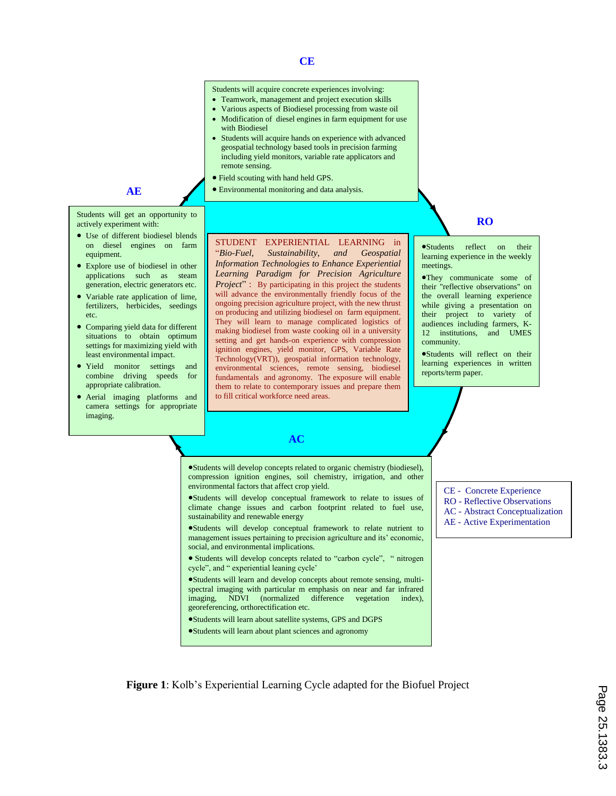| CE                                                                                                                                                                                                                                                                                                                                                                                                                                                                                                                                                                                                                                                                                                                                                                                                                                                                                                                                                      |                                                                                                                                                                                                                                                                                                                                                                                                                                                            |  |  |  |  |
|---------------------------------------------------------------------------------------------------------------------------------------------------------------------------------------------------------------------------------------------------------------------------------------------------------------------------------------------------------------------------------------------------------------------------------------------------------------------------------------------------------------------------------------------------------------------------------------------------------------------------------------------------------------------------------------------------------------------------------------------------------------------------------------------------------------------------------------------------------------------------------------------------------------------------------------------------------|------------------------------------------------------------------------------------------------------------------------------------------------------------------------------------------------------------------------------------------------------------------------------------------------------------------------------------------------------------------------------------------------------------------------------------------------------------|--|--|--|--|
| Students will acquire concrete experiences involving:<br>• Teamwork, management and project execution skills<br>• Various aspects of Biodiesel processing from waste oil<br>• Modification of diesel engines in farm equipment for use<br>with Biodiesel<br>• Students will acquire hands on experience with advanced<br>geospatial technology based tools in precision farming<br>including yield monitors, variable rate applicators and<br>remote sensing.<br>• Field scouting with hand held GPS.<br>• Environmental monitoring and data analysis.                                                                                                                                                                                                                                                                                                                                                                                                  |                                                                                                                                                                                                                                                                                                                                                                                                                                                            |  |  |  |  |
|                                                                                                                                                                                                                                                                                                                                                                                                                                                                                                                                                                                                                                                                                                                                                                                                                                                                                                                                                         | <b>RO</b>                                                                                                                                                                                                                                                                                                                                                                                                                                                  |  |  |  |  |
| STUDENT EXPERIENTIAL LEARNING in<br>"Bio-Fuel,<br>Sustainability,<br>and<br>Geospatial<br>Information Technologies to Enhance Experiential<br>Learning Paradigm for Precision Agriculture<br><i>Project</i> ": By participating in this project the students<br>will advance the environmentally friendly focus of the<br>ongoing precision agriculture project, with the new thrust<br>on producing and utilizing biodiesel on farm equipment.<br>They will learn to manage complicated logistics of<br>making biodiesel from waste cooking oil in a university<br>setting and get hands-on experience with compression<br>ignition engines, yield monitor, GPS, Variable Rate<br>Technology(VRT)), geospatial information technology,<br>environmental sciences, remote sensing, biodiesel<br>fundamentals and agronomy. The exposure will enable<br>them to relate to contemporary issues and prepare them<br>to fill critical workforce need areas. | $\bullet$ Students<br>reflect<br>their<br><b>on</b><br>learning experience in the weekly<br>meetings.<br>•They communicate some of<br>their "reflective observations" on<br>the overall learning experience<br>while giving a presentation on<br>their project to variety of<br>audiences including farmers, K-<br>12 institutions.<br>and UMES<br>community.<br>•Students will reflect on their<br>learning experiences in written<br>reports/term paper. |  |  |  |  |
| <b>AC</b>                                                                                                                                                                                                                                                                                                                                                                                                                                                                                                                                                                                                                                                                                                                                                                                                                                                                                                                                               |                                                                                                                                                                                                                                                                                                                                                                                                                                                            |  |  |  |  |
| •Students will develop concepts related to organic chemistry (biodiesel),<br>compression ignition engines, soil chemistry, irrigation, and other<br>•Students will develop conceptual framework to relate to issues of<br>climate change issues and carbon footprint related to fuel use,<br>•Students will develop conceptual framework to relate nutrient to<br>management issues pertaining to precision agriculture and its' economic,<br>• Students will develop concepts related to "carbon cycle", " nitrogen<br>•Students will learn and develop concepts about remote sensing, multi-<br>spectral imaging with particular m emphasis on near and far infrared<br><b>NDVI</b><br>(normalized)<br>difference<br>vegetation<br>index),                                                                                                                                                                                                            | <b>CE</b> - Concrete Experience<br><b>RO</b> - Reflective Observations<br><b>AC</b> - Abstract Conceptualization<br>AE - Active Experimentation                                                                                                                                                                                                                                                                                                            |  |  |  |  |
|                                                                                                                                                                                                                                                                                                                                                                                                                                                                                                                                                                                                                                                                                                                                                                                                                                                                                                                                                         | environmental factors that affect crop yield.<br>sustainability and renewable energy<br>social, and environmental implications.<br>cycle", and " experiential leaning cycle'<br>imaging,<br>georeferencing, orthorectification etc.<br>•Students will learn about satellite systems, GPS and DGPS<br>•Students will learn about plant sciences and agronomy                                                                                                |  |  |  |  |

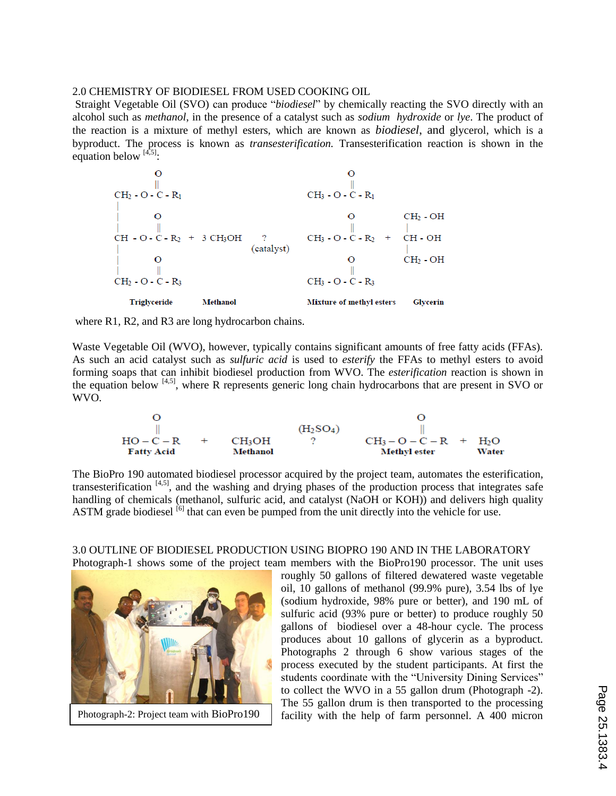# 2.0 CHEMISTRY OF BIODIESEL FROM USED COOKING OIL

Straight Vegetable Oil (SVO) can produce "*biodiesel*" by chemically reacting the SVO directly with an alcohol such as *methanol*, in the presence of a catalyst such as *sodium hydroxide* or *lye*. The product of the reaction is a mixture of methyl esters, which are known as *biodiesel*, and glycerol, which is a byproduct. The process is known as *transesterification.* Transesterification reaction is shown in the equation below  $^{[4,5]}$ :



where R1, R2, and R3 are long hydrocarbon chains.

Waste Vegetable Oil (WVO), however, typically contains significant amounts of free fatty acids (FFAs). As such an acid catalyst such as *sulfuric acid* is used to *esterify* the FFAs to methyl esters to avoid forming soaps that can inhibit biodiesel production from WVO. The *esterification* reaction is shown in the equation below <sup>[4,5]</sup>, where R represents generic long chain hydrocarbons that are present in SVO or WVO.

$$
\begin{matrix}O&O\\ \parallel\\ \text{HO}-\text{C}-\text{R}&+&\text{CH}_3\text{OH}\\ \text{Fatty Acid}&\text{Method}&O\\ \end{matrix}\qquad\quad \begin{matrix}O&O\\ \parallel\\ \text{CH}_2\text{SO}_4)\end{matrix}\qquad\quad \begin{matrix}O&\\ \parallel\\ \text{CH}_3-O-C-\text{R}&+&\text{H}_2\text{O}\\ \text{Methyl ester}&\text{Water}\\ \end{matrix}
$$

The BioPro 190 automated biodiesel processor acquired by the project team, automates the esterification, transesterification  $[4,5]$ , and the washing and drying phases of the production process that integrates safe handling of chemicals (methanol, sulfuric acid, and catalyst (NaOH or KOH)) and delivers high quality ASTM grade biodiesel <sup>[6]</sup> that can even be pumped from the unit directly into the vehicle for use.

### 3.0 OUTLINE OF BIODIESEL PRODUCTION USING BIOPRO 190 AND IN THE LABORATORY Photograph-1 shows some of the project team members with the BioPro190 processor. The unit uses



roughly 50 gallons of filtered dewatered waste vegetable oil, 10 gallons of methanol (99.9% pure), 3.54 lbs of lye (sodium hydroxide, 98% pure or better), and 190 mL of sulfuric acid (93% pure or better) to produce roughly 50 gallons of biodiesel over a 48-hour cycle. The process produces about 10 gallons of glycerin as a byproduct. Photographs 2 through 6 show various stages of the process executed by the student participants. At first the students coordinate with the "University Dining Services" to collect the WVO in a 55 gallon drum (Photograph -2). The 55 gallon drum is then transported to the processing Photograph-2: Project team with BioPro190  $\parallel$  facility with the help of farm personnel. A 400 micron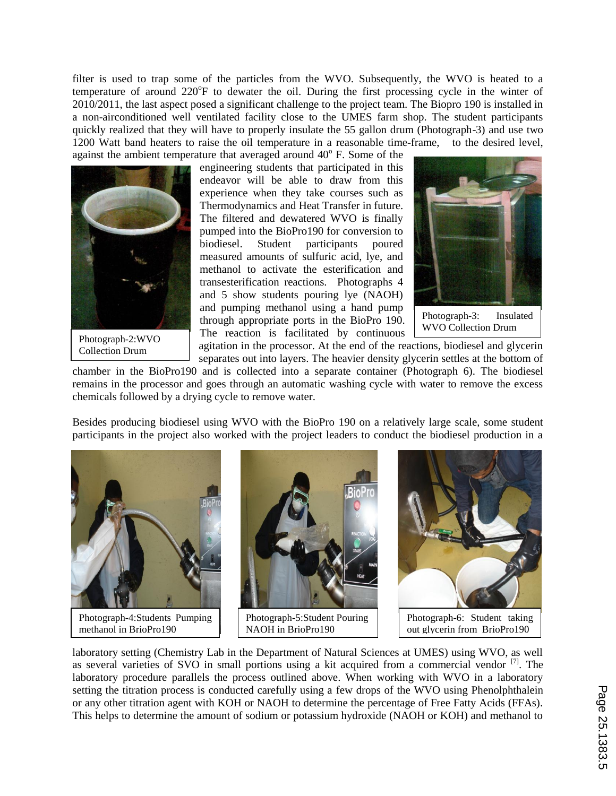filter is used to trap some of the particles from the WVO. Subsequently, the WVO is heated to a temperature of around 220°F to dewater the oil. During the first processing cycle in the winter of 2010/2011, the last aspect posed a significant challenge to the project team. The Biopro 190 is installed in a non-airconditioned well ventilated facility close to the UMES farm shop. The student participants quickly realized that they will have to properly insulate the 55 gallon drum (Photograph-3) and use two 1200 Watt band heaters to raise the oil temperature in a reasonable time-frame, to the desired level, against the ambient temperature that averaged around  $40^{\circ}$  F. Some of the



Photograph-2:WVO Collection Drum

engineering students that participated in this endeavor will be able to draw from this experience when they take courses such as Thermodynamics and Heat Transfer in future. The filtered and dewatered WVO is finally pumped into the BioPro190 for conversion to biodiesel. Student participants poured measured amounts of sulfuric acid, lye, and methanol to activate the esterification and transesterification reactions. Photographs 4 and 5 show students pouring lye (NAOH) and pumping methanol using a hand pump through appropriate ports in the BioPro 190. The reaction is facilitated by continuous



Photograph-3: Insulated WVO Collection Drum

agitation in the processor. At the end of the reactions, biodiesel and glycerin separates out into layers. The heavier density glycerin settles at the bottom of

chamber in the BioPro190 and is collected into a separate container (Photograph 6). The biodiesel remains in the processor and goes through an automatic washing cycle with water to remove the excess chemicals followed by a drying cycle to remove water.

Besides producing biodiesel using WVO with the BioPro 190 on a relatively large scale, some student participants in the project also worked with the project leaders to conduct the biodiesel production in a



Photograph-4:Students Pumping methanol in BrioPro190









Photograph-6: Student taking out glycerin from BrioPro190

laboratory setting (Chemistry Lab in the Department of Natural Sciences at UMES) using WVO, as well as several varieties of SVO in small portions using a kit acquired from a commercial vendor [7]. The laboratory procedure parallels the process outlined above. When working with WVO in a laboratory setting the titration process is conducted carefully using a few drops of the WVO using Phenolphthalein or any other titration agent with KOH or NAOH to determine the percentage of Free Fatty Acids (FFAs). This helps to determine the amount of sodium or potassium hydroxide (NAOH or KOH) and methanol to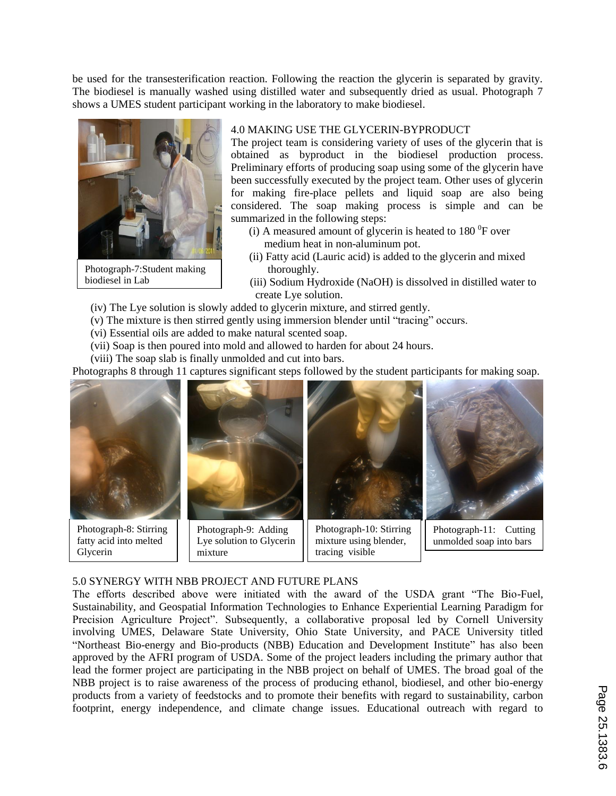be used for the transesterification reaction. Following the reaction the glycerin is separated by gravity. The biodiesel is manually washed using distilled water and subsequently dried as usual. Photograph 7 shows a UMES student participant working in the laboratory to make biodiesel.



Photograph-7:Student making biodiesel in Lab

# 4.0 MAKING USE THE GLYCERIN-BYPRODUCT

The project team is considering variety of uses of the glycerin that is obtained as byproduct in the biodiesel production process. Preliminary efforts of producing soap using some of the glycerin have been successfully executed by the project team. Other uses of glycerin for making fire-place pellets and liquid soap are also being considered. The soap making process is simple and can be summarized in the following steps:

- (i) A measured amount of glycerin is heated to  $180<sup>0</sup>F$  over medium heat in non-aluminum pot.
- (ii) Fatty acid (Lauric acid) is added to the glycerin and mixed thoroughly.
- (iii) Sodium Hydroxide (NaOH) is dissolved in distilled water to create Lye solution.
- (iv) The Lye solution is slowly added to glycerin mixture, and stirred gently.
- (v) The mixture is then stirred gently using immersion blender until "tracing" occurs.
- (vi) Essential oils are added to make natural scented soap.
- (vii) Soap is then poured into mold and allowed to harden for about 24 hours.
- (viii) The soap slab is finally unmolded and cut into bars.

Photographs 8 through 11 captures significant steps followed by the student participants for making soap.



# 5.0 SYNERGY WITH NBB PROJECT AND FUTURE PLANS

The efforts described above were initiated with the award of the USDA grant "The Bio-Fuel, Sustainability, and Geospatial Information Technologies to Enhance Experiential Learning Paradigm for Precision Agriculture Project". Subsequently, a collaborative proposal led by Cornell University involving UMES, Delaware State University, Ohio State University, and PACE University titled "Northeast Bio-energy and Bio-products (NBB) Education and Development Institute" has also been approved by the AFRI program of USDA. Some of the project leaders including the primary author that lead the former project are participating in the NBB project on behalf of UMES. The broad goal of the NBB project is to raise awareness of the process of producing ethanol, biodiesel, and other bio-energy products from a variety of feedstocks and to promote their benefits with regard to sustainability, carbon footprint, energy independence, and climate change issues. Educational outreach with regard to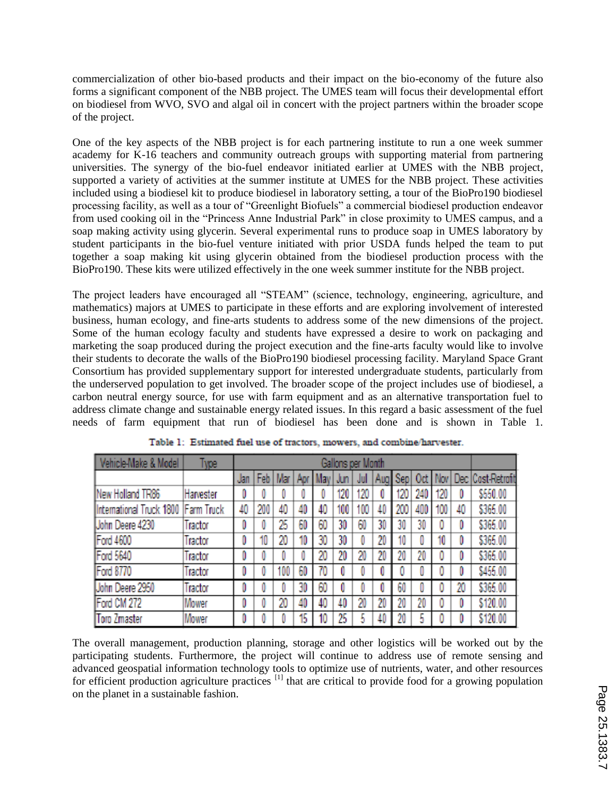commercialization of other bio-based products and their impact on the bio-economy of the future also forms a significant component of the NBB project. The UMES team will focus their developmental effort on biodiesel from WVO, SVO and algal oil in concert with the project partners within the broader scope of the project.

One of the key aspects of the NBB project is for each partnering institute to run a one week summer academy for K-16 teachers and community outreach groups with supporting material from partnering universities. The synergy of the bio-fuel endeavor initiated earlier at UMES with the NBB project, supported a variety of activities at the summer institute at UMES for the NBB project. These activities included using a biodiesel kit to produce biodiesel in laboratory setting, a tour of the BioPro190 biodiesel processing facility, as well as a tour of "Greenlight Biofuels" a commercial biodiesel production endeavor from used cooking oil in the "Princess Anne Industrial Park" in close proximity to UMES campus, and a soap making activity using glycerin. Several experimental runs to produce soap in UMES laboratory by student participants in the bio-fuel venture initiated with prior USDA funds helped the team to put together a soap making kit using glycerin obtained from the biodiesel production process with the BioPro190. These kits were utilized effectively in the one week summer institute for the NBB project.

The project leaders have encouraged all "STEAM" (science, technology, engineering, agriculture, and mathematics) majors at UMES to participate in these efforts and are exploring involvement of interested business, human ecology, and fine-arts students to address some of the new dimensions of the project. Some of the human ecology faculty and students have expressed a desire to work on packaging and marketing the soap produced during the project execution and the fine-arts faculty would like to involve their students to decorate the walls of the BioPro190 biodiesel processing facility. Maryland Space Grant Consortium has provided supplementary support for interested undergraduate students, particularly from the underserved population to get involved. The broader scope of the project includes use of biodiesel, a carbon neutral energy source, for use with farm equipment and as an alternative transportation fuel to address climate change and sustainable energy related issues. In this regard a basic assessment of the fuel needs of farm equipment that run of biodiesel has been done and is shown in Table 1.

| Vehicle-Make & Model                  | Type      | Gallons per Month |     |           |     |             |     |     |     |     |     |         |                  |              |
|---------------------------------------|-----------|-------------------|-----|-----------|-----|-------------|-----|-----|-----|-----|-----|---------|------------------|--------------|
|                                       |           | Jan               |     | Feb   Mar | Apr | <b>UMay</b> | Jun | Jul | Aug | Sep | 0d  | : I Nov | Dec <sup>7</sup> | Cost-Retroit |
| New Holland TR86                      | Harvester | 0                 |     |           |     |             | 120 | 120 | O   | 120 | 240 | 20      | O                | \$550.00     |
| International Truck 1800   Farm Truck |           | 40                | 200 | 40        | 40  | 40          | 100 | 100 | 40  | 200 | 400 | 100     | 40               | \$365.00     |
| Uohn Deere 4230                       | Tractor   | 0                 | O   | 25        | 60  | 60          | 30  | 60  | 30  | 30  | 30  |         | 0                | \$365.00     |
| Ford 4600                             | Tractor   | 0                 | 10  | 20        | 10  | 30          | 30  | 0   | 20  | 10  |     | 10      | 0                | \$365.00     |
| Ford 5640                             | Tractor   | 0                 | 0   |           |     | 20          | 20  | 20  | 20  | 20  | 20  |         | 0                | \$365.00     |
| Ford 8770                             | Tractor   | 0                 | O   | 100       | 60  | 70          |     | U   | 0   | 0   | U   |         | 0                | \$455.00     |
| Uohn Deere 2950                       | Tractor   | 0                 | 0   |           | 30  | 60          | O   |     | 0   | 60  | 0   |         | 20               | \$365.00     |
| Ford CM 272                           | Mower     | 0                 | O   | 20        | 40  | 40          | 40  | 20  | 20  | 20  | 20  |         | 0                | \$120.00     |
| <b>Toro Zmaster</b>                   | Mower     | 0                 |     |           | 15  | 10          | 25  |     | 40  | 20  | 5   |         | 0                | \$120.00     |

|  |  |  |  |  |  | Table 1: Estimated fuel use of tractors, mowers, and combine/harvester. |
|--|--|--|--|--|--|-------------------------------------------------------------------------|
|--|--|--|--|--|--|-------------------------------------------------------------------------|

The overall management, production planning, storage and other logistics will be worked out by the participating students. Furthermore, the project will continue to address use of remote sensing and advanced geospatial information technology tools to optimize use of nutrients, water, and other resources for efficient production agriculture practices <sup>[1]</sup> that are critical to provide food for a growing population on the planet in a sustainable fashion.